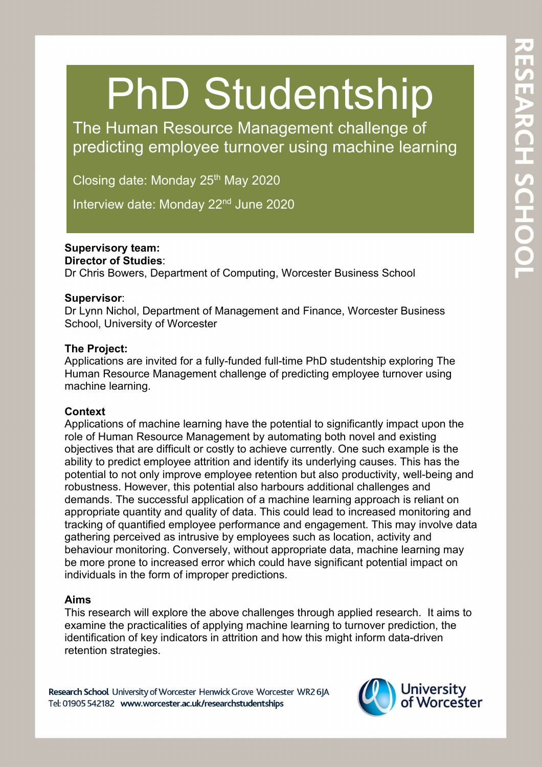# PhD Studentship

The Human Resource Management challenge of predicting employee turnover using machine learning

Closing date: Monday  $25<sup>th</sup>$  May 2020

Interview date: Monday 22<sup>nd</sup> June 2020

## **Supervisory team:**

#### **Director of Studies**:

Dr Chris Bowers, Department of Computing, Worcester Business School

#### **Supervisor**:

Dr Lynn Nichol, Department of Management and Finance, Worcester Business School, University of Worcester

#### **The Project:**

The Project:<br>Applications are invited for a fully-funded full-time PhD studentship exploring The Human Resource Management challenge of predicting employee turnover using machine learning.

## **Context**

Applications of machine learning have the potential to significantly impact upon the role of Human Resource Management by automating both novel and existing objectives that are difficult or costly to achieve currently. One such example is the ability to predict employee attrition and identify its underlying causes. This has the potential to not only improve employee retention but also productivity, well-being and robustness. However, this potential also harbours additional challenges and demands. The successful application of a machine learning approach is reliant on appropriate quantity and quality of data. This could lead to increased monitoring and tracking of quantified employee performance and engagement. This may involve data gathering perceived as intrusive by employees such as location, activity and behaviour monitoring. Conversely, without appropriate data, machine learning may be more prone to increased error which could have significant potential impact on individuals in the form of improper predictions.

## **Aims**

This research will explore the above challenges through applied research. It aims to examine the practicalities of applying machine learning to turnover prediction, the identification of key indicators in attrition and how this might inform data-driven retention strategies.

Research School University of Worcester Henwick Grove Worcester WR2 6JA Tel: 01905 542182 www.worcester.ac.uk/researchstudentships

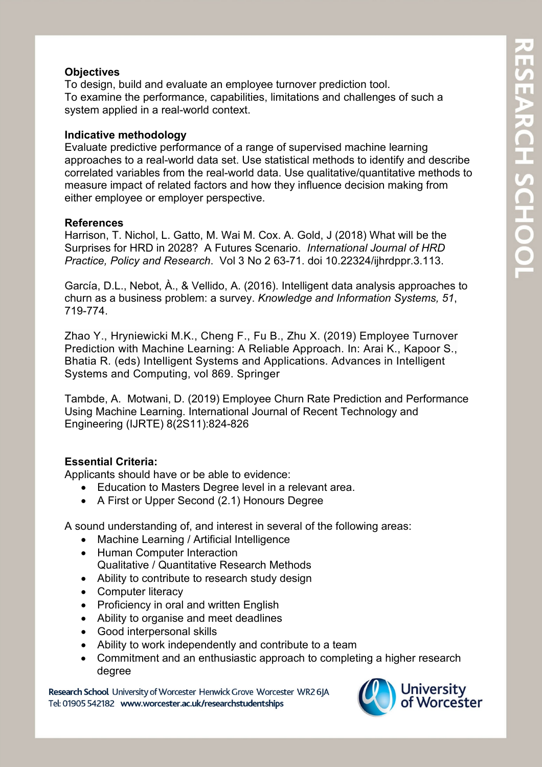## **Objectives**

To design, build and evaluate an employee turnover prediction tool. To examine the performance, capabilities, limitations and challenges of such a system applied in a real-world context.

#### **Indicative methodology**

Evaluate predictive performance of a range of supervised machine learning approaches to a real-world data set. Use statistical methods to identify and describe correlated variables from the real-world data. Use qualitative/quantitative methods to measure impact of related factors and how they influence decision making from either employee or employer perspective.

#### **References**

Harrison, T. Nichol, L. Gatto, M. Wai M. Cox. A. Gold, J (2018) What will be the Surprises for HRD in 2028? A Futures Scenario. *International Journal of HRD Practice, Policy and Research*. Vol 3 No 2 63-71. doi 10.22324/ijhrdppr.3.113.

García, D.L., Nebot, À., & Vellido, A. (2016). Intelligent data analysis approaches to churn as a business problem: a survey. *Knowledge and Information Systems, 51*, 719-774.

Zhao Y., Hryniewicki M.K., Cheng F., Fu B., Zhu X. (2019) Employee Turnover Prediction with Machine Learning: A Reliable Approach. In: Arai K., Kapoor S., Bhatia R. (eds) Intelligent Systems and Applications. Advances in Intelligent Systems and Computing, vol 869. Springer

Tambde, A. Motwani, D. (2019) Employee Churn Rate Prediction and Performance Using Machine Learning. International Journal of Recent Technology and Engineering (IJRTE) 8(2S11):824-826

#### **Essential Criteria:**

Applicants should have or be able to evidence:

- Education to Masters Degree level in a relevant area.
- A First or Upper Second (2.1) Honours Degree

A sound understanding of, and interest in several of the following areas:

- Machine Learning / Artificial Intelligence
- Human Computer Interaction Qualitative / Quantitative Research Methods
- Ability to contribute to research study design
- Computer literacy
- Proficiency in oral and written English
- Ability to organise and meet deadlines
- Good interpersonal skills
- Ability to work independently and contribute to a team
- Commitment and an enthusiastic approach to completing a higher research degree

Research School University of Worcester Henwick Grove Worcester WR2 6JA Tel: 01905 542182 www.worcester.ac.uk/researchstudentships

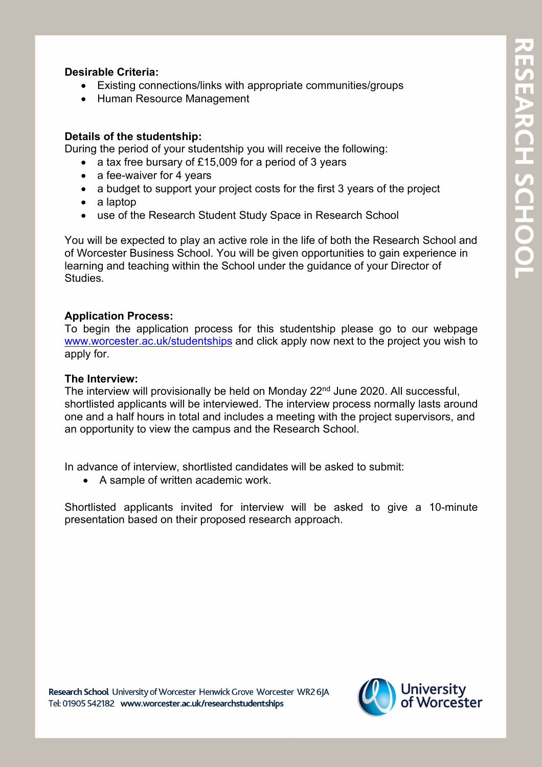## **Desirable Criteria:**

- Existing connections/links with appropriate communities/groups
- Human Resource Management

## **Details of the studentship:**

During the period of your studentship you will receive the following:

- a tax free bursary of £15,009 for a period of 3 years
- a fee-waiver for 4 years
- a budget to support your project costs for the first 3 years of the project
- a laptop
- use of the Research Student Study Space in Research School

You will be expected to play an active role in the life of both the Research School and of Worcester Business School. You will be given opportunities to gain experience in learning and teaching within the School under the guidance of your Director of Studies.

## **Application Process:**

To begin the application process for this studentship please go to our webpage [www.worcester.ac.uk/studentships](http://www.worcester.ac.uk/studentships) and click apply now next to the project you wish to apply for.

## **The Interview:**

The interview will provisionally be held on Monday 22<sup>nd</sup> June 2020. All successful, shortlisted applicants will be interviewed. The interview process normally lasts around one and a half hours in total and includes a meeting with the project supervisors, and an opportunity to view the campus and the Research School.

In advance of interview, shortlisted candidates will be asked to submit:

• A sample of written academic work.

Shortlisted applicants invited for interview will be asked to give a 10-minute presentation based on their proposed research approach.

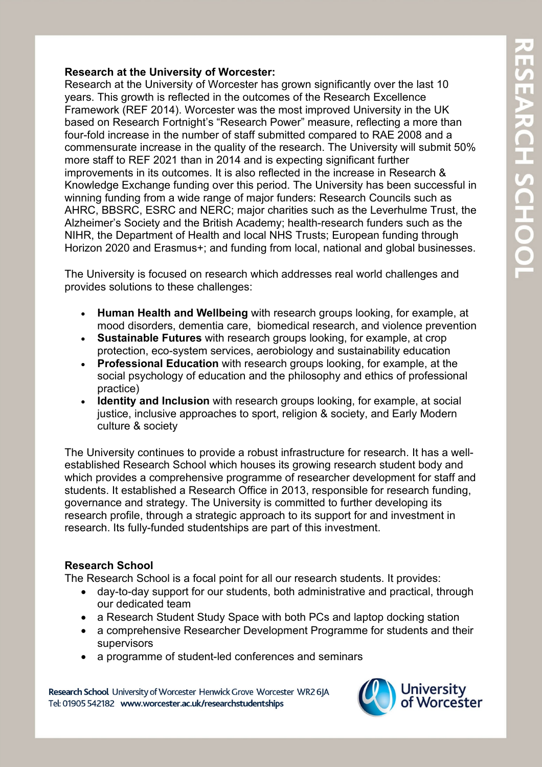## **Research at the University of Worcester:**

Research at the University of Worcester has grown significantly over the last 10 years. This growth is reflected in the outcomes of the Research Excellence Framework (REF 2014). Worcester was the most improved University in the UK based on Research Fortnight's "Research Power" measure, reflecting a more than four-fold increase in the number of staff submitted compared to RAE 2008 and a commensurate increase in the quality of the research. The University will submit 50% more staff to REF 2021 than in 2014 and is expecting significant further improvements in its outcomes. It is also reflected in the increase in Research & Knowledge Exchange funding over this period. The University has been successful in winning funding from a wide range of major funders: Research Councils such as AHRC, BBSRC, ESRC and NERC; major charities such as the Leverhulme Trust, the Alzheimer's Society and the British Academy; health-research funders such as the NIHR, the Department of Health and local NHS Trusts; European funding through Horizon 2020 and Erasmus+; and funding from local, national and global businesses.

The University is focused on research which addresses real world challenges and provides solutions to these challenges:

- **Human Health and Wellbeing** with research groups looking, for example, at mood disorders, dementia care, biomedical research, and violence prevention
- **Sustainable Futures** with research groups looking, for example, at crop protection, eco-system services, aerobiology and sustainability education
- **Professional Education** with research groups looking, for example, at the social psychology of education and the philosophy and ethics of professional practice)
- **Identity and Inclusion** with research groups looking, for example, at social justice, inclusive approaches to sport, religion & society, and Early Modern culture & society

The University continues to provide a robust infrastructure for research. It has a wellestablished Research School which houses its growing research student body and which provides a comprehensive programme of researcher development for staff and students. It established a Research Office in 2013, responsible for research funding, governance and strategy. The University is committed to further developing its research profile, through a strategic approach to its support for and investment in research. Its fully-funded studentships are part of this investment.

#### **Research School**

The Research School is a focal point for all our research students. It provides:

- day-to-day support for our students, both administrative and practical, through our dedicated team
- a Research Student Study Space with both PCs and laptop docking station
- a comprehensive Researcher Development Programme for students and their supervisors
- a programme of student-led conferences and seminars

Research School University of Worcester Henwick Grove Worcester WR2 6JA Tel: 01905 542182 www.worcester.ac.uk/researchstudentships